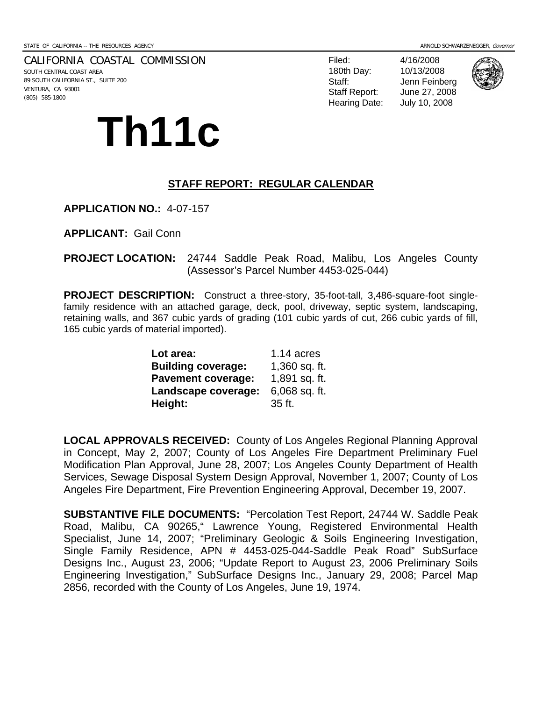CALIFORNIA COASTAL COMMISSION SOUTH CENTRAL COAST AREA 89 SOUTH CALIFORNIA ST., SUITE 200 VENTURA, CA 93001 (805) 585-1800

# **Th11c**

Filed: 4/16/2008 180th Day: 10/13/2008 Staff: Jenn Feinberg Staff Report: June 27, 2008 Hearing Date: July 10, 2008



#### **STAFF REPORT: REGULAR CALENDAR**

**APPLICATION NO.:** 4-07-157

**APPLICANT:** Gail Conn

**PROJECT LOCATION:** 24744 Saddle Peak Road, Malibu, Los Angeles County (Assessor's Parcel Number 4453-025-044)

**PROJECT DESCRIPTION:** Construct a three-story, 35-foot-tall, 3,486-square-foot singlefamily residence with an attached garage, deck, pool, driveway, septic system, landscaping, retaining walls, and 367 cubic yards of grading (101 cubic yards of cut, 266 cubic yards of fill, 165 cubic yards of material imported).

| Lot area:                 | 1.14 acres      |
|---------------------------|-----------------|
| <b>Building coverage:</b> | 1,360 sq. ft.   |
| <b>Pavement coverage:</b> | 1,891 sq. ft.   |
| Landscape coverage:       | $6,068$ sq. ft. |
| Height:                   | 35 ft.          |

**LOCAL APPROVALS RECEIVED:** County of Los Angeles Regional Planning Approval in Concept, May 2, 2007; County of Los Angeles Fire Department Preliminary Fuel Modification Plan Approval, June 28, 2007; Los Angeles County Department of Health Services, Sewage Disposal System Design Approval, November 1, 2007; County of Los Angeles Fire Department, Fire Prevention Engineering Approval, December 19, 2007.

**SUBSTANTIVE FILE DOCUMENTS:** "Percolation Test Report, 24744 W. Saddle Peak Road, Malibu, CA 90265," Lawrence Young, Registered Environmental Health Specialist, June 14, 2007; "Preliminary Geologic & Soils Engineering Investigation, Single Family Residence, APN # 4453-025-044-Saddle Peak Road" SubSurface Designs Inc., August 23, 2006; "Update Report to August 23, 2006 Preliminary Soils Engineering Investigation," SubSurface Designs Inc., January 29, 2008; Parcel Map 2856, recorded with the County of Los Angeles, June 19, 1974.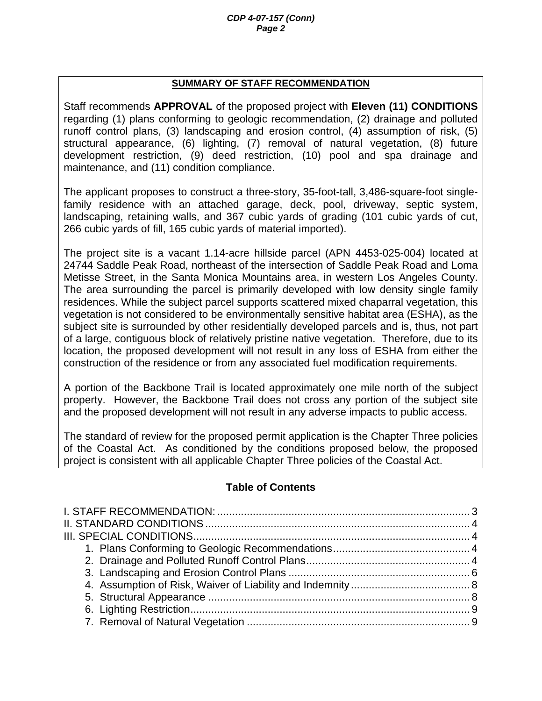#### **SUMMARY OF STAFF RECOMMENDATION**

Staff recommends **APPROVAL** of the proposed project with **Eleven (11) CONDITIONS** regarding (1) plans conforming to geologic recommendation, (2) drainage and polluted runoff control plans, (3) landscaping and erosion control, (4) assumption of risk, (5) structural appearance, (6) lighting, (7) removal of natural vegetation, (8) future development restriction, (9) deed restriction, (10) pool and spa drainage and maintenance, and (11) condition compliance.

The applicant proposes to construct a three-story, 35-foot-tall, 3,486-square-foot singlefamily residence with an attached garage, deck, pool, driveway, septic system, landscaping, retaining walls, and 367 cubic yards of grading (101 cubic yards of cut, 266 cubic yards of fill, 165 cubic yards of material imported).

The project site is a vacant 1.14-acre hillside parcel (APN 4453-025-004) located at 24744 Saddle Peak Road, northeast of the intersection of Saddle Peak Road and Loma Metisse Street, in the Santa Monica Mountains area, in western Los Angeles County. The area surrounding the parcel is primarily developed with low density single family residences. While the subject parcel supports scattered mixed chaparral vegetation, this vegetation is not considered to be environmentally sensitive habitat area (ESHA), as the subject site is surrounded by other residentially developed parcels and is, thus, not part of a large, contiguous block of relatively pristine native vegetation. Therefore, due to its location, the proposed development will not result in any loss of ESHA from either the construction of the residence or from any associated fuel modification requirements.

A portion of the Backbone Trail is located approximately one mile north of the subject property. However, the Backbone Trail does not cross any portion of the subject site and the proposed development will not result in any adverse impacts to public access.

The standard of review for the proposed permit application is the Chapter Three policies of the Coastal Act. As conditioned by the conditions proposed below, the proposed project is consistent with all applicable Chapter Three policies of the Coastal Act.

### **Table of Contents**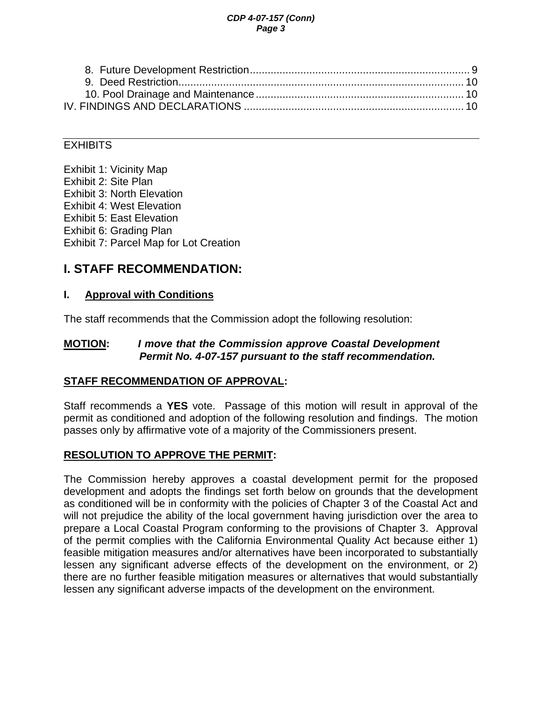#### *CDP 4-07-157 (Conn) Page 3*

<span id="page-2-0"></span>

#### **EXHIBITS**

Exhibit 1: Vicinity Map Exhibit 2: Site Plan Exhibit 3: North Elevation Exhibit 4: West Elevation Exhibit 5: East Elevation Exhibit 6: Grading Plan Exhibit 7: Parcel Map for Lot Creation

## **I. STAFF RECOMMENDATION:**

### **I. Approval with Conditions**

The staff recommends that the Commission adopt the following resolution:

#### **MOTION:** *I move that the Commission approve Coastal Development Permit No. 4-07-157 pursuant to the staff recommendation.*

### **STAFF RECOMMENDATION OF APPROVAL:**

Staff recommends a **YES** vote. Passage of this motion will result in approval of the permit as conditioned and adoption of the following resolution and findings. The motion passes only by affirmative vote of a majority of the Commissioners present.

### **RESOLUTION TO APPROVE THE PERMIT:**

The Commission hereby approves a coastal development permit for the proposed development and adopts the findings set forth below on grounds that the development as conditioned will be in conformity with the policies of Chapter 3 of the Coastal Act and will not prejudice the ability of the local government having jurisdiction over the area to prepare a Local Coastal Program conforming to the provisions of Chapter 3. Approval of the permit complies with the California Environmental Quality Act because either 1) feasible mitigation measures and/or alternatives have been incorporated to substantially lessen any significant adverse effects of the development on the environment, or 2) there are no further feasible mitigation measures or alternatives that would substantially lessen any significant adverse impacts of the development on the environment.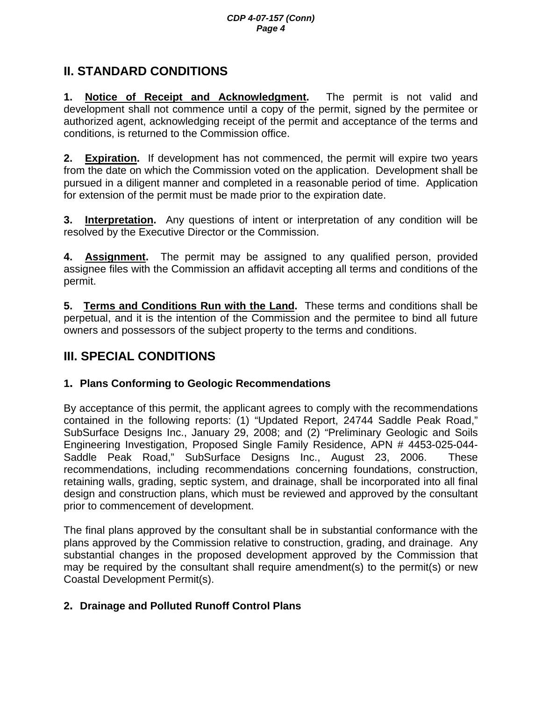# <span id="page-3-0"></span>**II. STANDARD CONDITIONS**

**1. Notice of Receipt and Acknowledgment.** The permit is not valid and development shall not commence until a copy of the permit, signed by the permitee or authorized agent, acknowledging receipt of the permit and acceptance of the terms and conditions, is returned to the Commission office.

**2. Expiration.** If development has not commenced, the permit will expire two years from the date on which the Commission voted on the application. Development shall be pursued in a diligent manner and completed in a reasonable period of time. Application for extension of the permit must be made prior to the expiration date.

**3. Interpretation.** Any questions of intent or interpretation of any condition will be resolved by the Executive Director or the Commission.

**4. Assignment.** The permit may be assigned to any qualified person, provided assignee files with the Commission an affidavit accepting all terms and conditions of the permit.

**5. Terms and Conditions Run with the Land.** These terms and conditions shall be perpetual, and it is the intention of the Commission and the permitee to bind all future owners and possessors of the subject property to the terms and conditions.

# **III. SPECIAL CONDITIONS**

### **1. Plans Conforming to Geologic Recommendations**

By acceptance of this permit, the applicant agrees to comply with the recommendations contained in the following reports: (1) "Updated Report, 24744 Saddle Peak Road," SubSurface Designs Inc., January 29, 2008; and (2) "Preliminary Geologic and Soils Engineering Investigation, Proposed Single Family Residence, APN # 4453-025-044- Saddle Peak Road," SubSurface Designs Inc., August 23, 2006. These recommendations, including recommendations concerning foundations, construction, retaining walls, grading, septic system, and drainage, shall be incorporated into all final design and construction plans, which must be reviewed and approved by the consultant prior to commencement of development.

The final plans approved by the consultant shall be in substantial conformance with the plans approved by the Commission relative to construction, grading, and drainage. Any substantial changes in the proposed development approved by the Commission that may be required by the consultant shall require amendment(s) to the permit(s) or new Coastal Development Permit(s).

## **2. Drainage and Polluted Runoff Control Plans**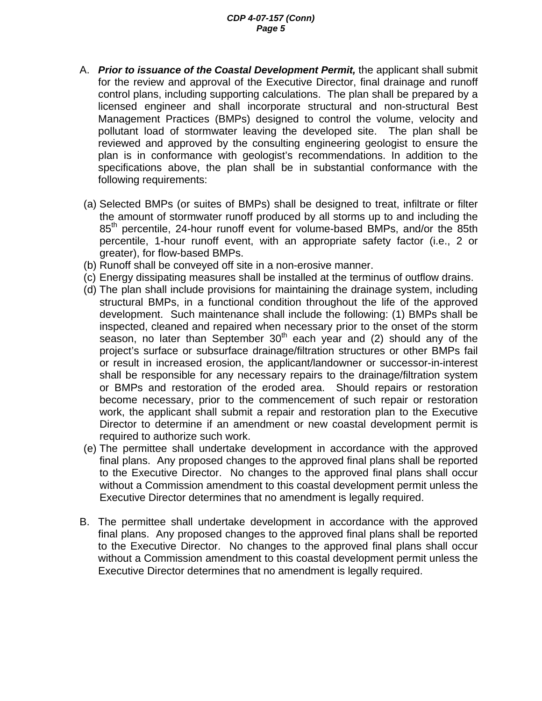#### *CDP 4-07-157 (Conn) Page 5*

- A. *Prior to issuance of the Coastal Development Permit,* the applicant shall submit for the review and approval of the Executive Director, final drainage and runoff control plans, including supporting calculations. The plan shall be prepared by a licensed engineer and shall incorporate structural and non-structural Best Management Practices (BMPs) designed to control the volume, velocity and pollutant load of stormwater leaving the developed site. The plan shall be reviewed and approved by the consulting engineering geologist to ensure the plan is in conformance with geologist's recommendations. In addition to the specifications above, the plan shall be in substantial conformance with the following requirements:
- (a) Selected BMPs (or suites of BMPs) shall be designed to treat, infiltrate or filter the amount of stormwater runoff produced by all storms up to and including the 85<sup>th</sup> percentile, 24-hour runoff event for volume-based BMPs, and/or the 85th percentile, 1-hour runoff event, with an appropriate safety factor (i.e., 2 or greater), for flow-based BMPs.
- (b) Runoff shall be conveyed off site in a non-erosive manner.
- (c) Energy dissipating measures shall be installed at the terminus of outflow drains.
- (d) The plan shall include provisions for maintaining the drainage system, including structural BMPs, in a functional condition throughout the life of the approved development. Such maintenance shall include the following: (1) BMPs shall be inspected, cleaned and repaired when necessary prior to the onset of the storm season, no later than September  $30<sup>th</sup>$  each year and (2) should any of the project's surface or subsurface drainage/filtration structures or other BMPs fail or result in increased erosion, the applicant/landowner or successor-in-interest shall be responsible for any necessary repairs to the drainage/filtration system or BMPs and restoration of the eroded area. Should repairs or restoration become necessary, prior to the commencement of such repair or restoration work, the applicant shall submit a repair and restoration plan to the Executive Director to determine if an amendment or new coastal development permit is required to authorize such work.
- (e) The permittee shall undertake development in accordance with the approved final plans. Any proposed changes to the approved final plans shall be reported to the Executive Director. No changes to the approved final plans shall occur without a Commission amendment to this coastal development permit unless the Executive Director determines that no amendment is legally required.
- B. The permittee shall undertake development in accordance with the approved final plans. Any proposed changes to the approved final plans shall be reported to the Executive Director. No changes to the approved final plans shall occur without a Commission amendment to this coastal development permit unless the Executive Director determines that no amendment is legally required.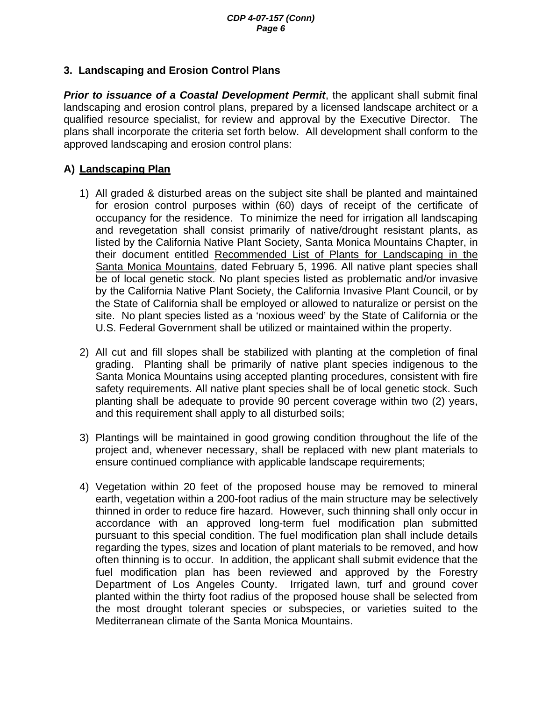### <span id="page-5-0"></span>**3. Landscaping and Erosion Control Plans**

**Prior to issuance of a Coastal Development Permit**, the applicant shall submit final landscaping and erosion control plans, prepared by a licensed landscape architect or a qualified resource specialist, for review and approval by the Executive Director. The plans shall incorporate the criteria set forth below. All development shall conform to the approved landscaping and erosion control plans:

### **A) Landscaping Plan**

- 1) All graded & disturbed areas on the subject site shall be planted and maintained for erosion control purposes within (60) days of receipt of the certificate of occupancy for the residence. To minimize the need for irrigation all landscaping and revegetation shall consist primarily of native/drought resistant plants, as listed by the California Native Plant Society, Santa Monica Mountains Chapter, in their document entitled Recommended List of Plants for Landscaping in the Santa Monica Mountains, dated February 5, 1996. All native plant species shall be of local genetic stock. No plant species listed as problematic and/or invasive by the California Native Plant Society, the California Invasive Plant Council, or by the State of California shall be employed or allowed to naturalize or persist on the site. No plant species listed as a 'noxious weed' by the State of California or the U.S. Federal Government shall be utilized or maintained within the property.
- 2) All cut and fill slopes shall be stabilized with planting at the completion of final grading. Planting shall be primarily of native plant species indigenous to the Santa Monica Mountains using accepted planting procedures, consistent with fire safety requirements. All native plant species shall be of local genetic stock. Such planting shall be adequate to provide 90 percent coverage within two (2) years, and this requirement shall apply to all disturbed soils;
- 3) Plantings will be maintained in good growing condition throughout the life of the project and, whenever necessary, shall be replaced with new plant materials to ensure continued compliance with applicable landscape requirements;
- 4) Vegetation within 20 feet of the proposed house may be removed to mineral earth, vegetation within a 200-foot radius of the main structure may be selectively thinned in order to reduce fire hazard. However, such thinning shall only occur in accordance with an approved long-term fuel modification plan submitted pursuant to this special condition. The fuel modification plan shall include details regarding the types, sizes and location of plant materials to be removed, and how often thinning is to occur. In addition, the applicant shall submit evidence that the fuel modification plan has been reviewed and approved by the Forestry Department of Los Angeles County. Irrigated lawn, turf and ground cover planted within the thirty foot radius of the proposed house shall be selected from the most drought tolerant species or subspecies, or varieties suited to the Mediterranean climate of the Santa Monica Mountains.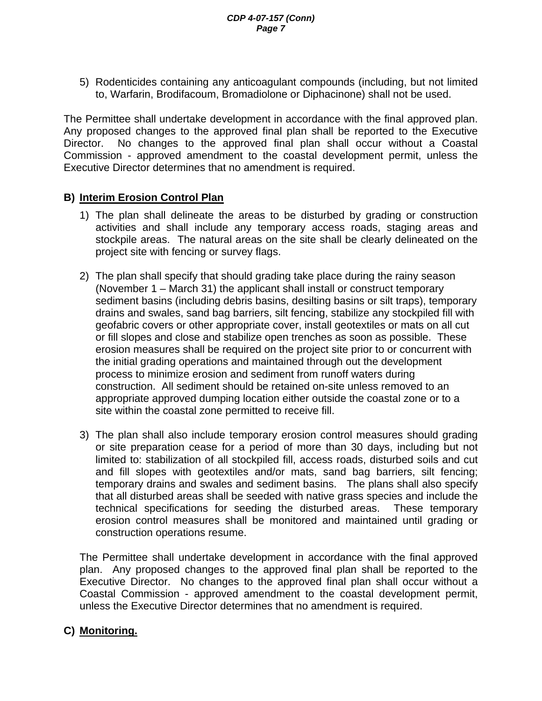5) Rodenticides containing any anticoagulant compounds (including, but not limited to, Warfarin, Brodifacoum, Bromadiolone or Diphacinone) shall not be used.

The Permittee shall undertake development in accordance with the final approved plan. Any proposed changes to the approved final plan shall be reported to the Executive Director. No changes to the approved final plan shall occur without a Coastal Commission - approved amendment to the coastal development permit, unless the Executive Director determines that no amendment is required.

#### **B) Interim Erosion Control Plan**

- 1) The plan shall delineate the areas to be disturbed by grading or construction activities and shall include any temporary access roads, staging areas and stockpile areas. The natural areas on the site shall be clearly delineated on the project site with fencing or survey flags.
- 2) The plan shall specify that should grading take place during the rainy season (November 1 – March 31) the applicant shall install or construct temporary sediment basins (including debris basins, desilting basins or silt traps), temporary drains and swales, sand bag barriers, silt fencing, stabilize any stockpiled fill with geofabric covers or other appropriate cover, install geotextiles or mats on all cut or fill slopes and close and stabilize open trenches as soon as possible. These erosion measures shall be required on the project site prior to or concurrent with the initial grading operations and maintained through out the development process to minimize erosion and sediment from runoff waters during construction. All sediment should be retained on-site unless removed to an appropriate approved dumping location either outside the coastal zone or to a site within the coastal zone permitted to receive fill.
- 3) The plan shall also include temporary erosion control measures should grading or site preparation cease for a period of more than 30 days, including but not limited to: stabilization of all stockpiled fill, access roads, disturbed soils and cut and fill slopes with geotextiles and/or mats, sand bag barriers, silt fencing; temporary drains and swales and sediment basins. The plans shall also specify that all disturbed areas shall be seeded with native grass species and include the technical specifications for seeding the disturbed areas. These temporary erosion control measures shall be monitored and maintained until grading or construction operations resume.

 The Permittee shall undertake development in accordance with the final approved plan. Any proposed changes to the approved final plan shall be reported to the Executive Director. No changes to the approved final plan shall occur without a Coastal Commission - approved amendment to the coastal development permit, unless the Executive Director determines that no amendment is required.

### **C) Monitoring.**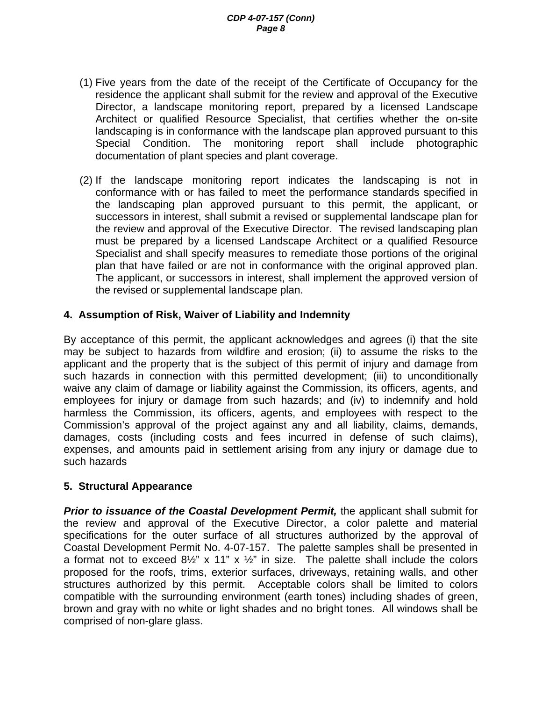- <span id="page-7-0"></span>(1) Five years from the date of the receipt of the Certificate of Occupancy for the residence the applicant shall submit for the review and approval of the Executive Director, a landscape monitoring report, prepared by a licensed Landscape Architect or qualified Resource Specialist, that certifies whether the on-site landscaping is in conformance with the landscape plan approved pursuant to this Special Condition. The monitoring report shall include photographic documentation of plant species and plant coverage.
- (2) If the landscape monitoring report indicates the landscaping is not in conformance with or has failed to meet the performance standards specified in the landscaping plan approved pursuant to this permit, the applicant, or successors in interest, shall submit a revised or supplemental landscape plan for the review and approval of the Executive Director. The revised landscaping plan must be prepared by a licensed Landscape Architect or a qualified Resource Specialist and shall specify measures to remediate those portions of the original plan that have failed or are not in conformance with the original approved plan. The applicant, or successors in interest, shall implement the approved version of the revised or supplemental landscape plan.

#### **4. Assumption of Risk, Waiver of Liability and Indemnity**

By acceptance of this permit, the applicant acknowledges and agrees (i) that the site may be subject to hazards from wildfire and erosion; (ii) to assume the risks to the applicant and the property that is the subject of this permit of injury and damage from such hazards in connection with this permitted development; (iii) to unconditionally waive any claim of damage or liability against the Commission, its officers, agents, and employees for injury or damage from such hazards; and (iv) to indemnify and hold harmless the Commission, its officers, agents, and employees with respect to the Commission's approval of the project against any and all liability, claims, demands, damages, costs (including costs and fees incurred in defense of such claims), expenses, and amounts paid in settlement arising from any injury or damage due to such hazards

#### **5. Structural Appearance**

*Prior to issuance of the Coastal Development Permit,* the applicant shall submit for the review and approval of the Executive Director, a color palette and material specifications for the outer surface of all structures authorized by the approval of Coastal Development Permit No. 4-07-157. The palette samples shall be presented in a format not to exceed  $8\frac{1}{2}$ " x 11" x  $\frac{1}{2}$ " in size. The palette shall include the colors proposed for the roofs, trims, exterior surfaces, driveways, retaining walls, and other structures authorized by this permit. Acceptable colors shall be limited to colors compatible with the surrounding environment (earth tones) including shades of green, brown and gray with no white or light shades and no bright tones. All windows shall be comprised of non-glare glass.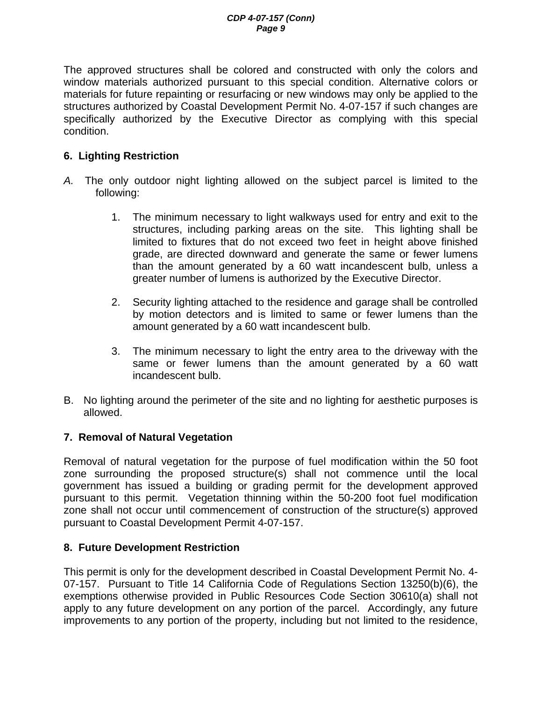<span id="page-8-0"></span>The approved structures shall be colored and constructed with only the colors and window materials authorized pursuant to this special condition. Alternative colors or materials for future repainting or resurfacing or new windows may only be applied to the structures authorized by Coastal Development Permit No. 4-07-157 if such changes are specifically authorized by the Executive Director as complying with this special condition.

#### **6. Lighting Restriction**

- *A.* The only outdoor night lighting allowed on the subject parcel is limited to the following:
	- 1. The minimum necessary to light walkways used for entry and exit to the structures, including parking areas on the site. This lighting shall be limited to fixtures that do not exceed two feet in height above finished grade, are directed downward and generate the same or fewer lumens than the amount generated by a 60 watt incandescent bulb, unless a greater number of lumens is authorized by the Executive Director.
	- 2. Security lighting attached to the residence and garage shall be controlled by motion detectors and is limited to same or fewer lumens than the amount generated by a 60 watt incandescent bulb.
	- 3. The minimum necessary to light the entry area to the driveway with the same or fewer lumens than the amount generated by a 60 watt incandescent bulb.
- B. No lighting around the perimeter of the site and no lighting for aesthetic purposes is allowed.

#### **7. Removal of Natural Vegetation**

Removal of natural vegetation for the purpose of fuel modification within the 50 foot zone surrounding the proposed structure(s) shall not commence until the local government has issued a building or grading permit for the development approved pursuant to this permit. Vegetation thinning within the 50-200 foot fuel modification zone shall not occur until commencement of construction of the structure(s) approved pursuant to Coastal Development Permit 4-07-157.

#### **8. Future Development Restriction**

This permit is only for the development described in Coastal Development Permit No. 4- 07-157. Pursuant to Title 14 California Code of Regulations Section 13250(b)(6), the exemptions otherwise provided in Public Resources Code Section 30610(a) shall not apply to any future development on any portion of the parcel. Accordingly, any future improvements to any portion of the property, including but not limited to the residence,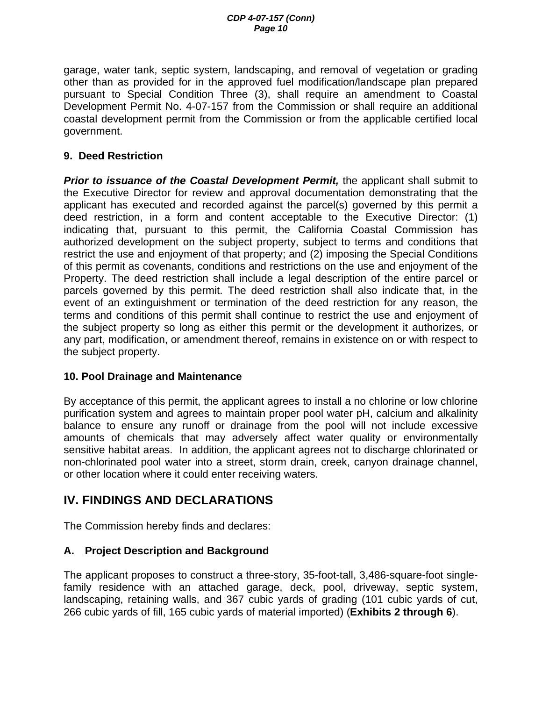<span id="page-9-0"></span>garage, water tank, septic system, landscaping, and removal of vegetation or grading other than as provided for in the approved fuel modification/landscape plan prepared pursuant to Special Condition Three (3), shall require an amendment to Coastal Development Permit No. 4-07-157 from the Commission or shall require an additional coastal development permit from the Commission or from the applicable certified local government.

#### **9. Deed Restriction**

*Prior to issuance of the Coastal Development Permit,* the applicant shall submit to the Executive Director for review and approval documentation demonstrating that the applicant has executed and recorded against the parcel(s) governed by this permit a deed restriction, in a form and content acceptable to the Executive Director: (1) indicating that, pursuant to this permit, the California Coastal Commission has authorized development on the subject property, subject to terms and conditions that restrict the use and enjoyment of that property; and (2) imposing the Special Conditions of this permit as covenants, conditions and restrictions on the use and enjoyment of the Property. The deed restriction shall include a legal description of the entire parcel or parcels governed by this permit. The deed restriction shall also indicate that, in the event of an extinguishment or termination of the deed restriction for any reason, the terms and conditions of this permit shall continue to restrict the use and enjoyment of the subject property so long as either this permit or the development it authorizes, or any part, modification, or amendment thereof, remains in existence on or with respect to the subject property.

#### **10. Pool Drainage and Maintenance**

By acceptance of this permit, the applicant agrees to install a no chlorine or low chlorine purification system and agrees to maintain proper pool water pH, calcium and alkalinity balance to ensure any runoff or drainage from the pool will not include excessive amounts of chemicals that may adversely affect water quality or environmentally sensitive habitat areas. In addition, the applicant agrees not to discharge chlorinated or non-chlorinated pool water into a street, storm drain, creek, canyon drainage channel, or other location where it could enter receiving waters.

## **IV. FINDINGS AND DECLARATIONS**

The Commission hereby finds and declares:

#### **A. Project Description and Background**

The applicant proposes to construct a three-story, 35-foot-tall, 3,486-square-foot singlefamily residence with an attached garage, deck, pool, driveway, septic system, landscaping, retaining walls, and 367 cubic yards of grading (101 cubic yards of cut, 266 cubic yards of fill, 165 cubic yards of material imported) (**Exhibits 2 through 6**).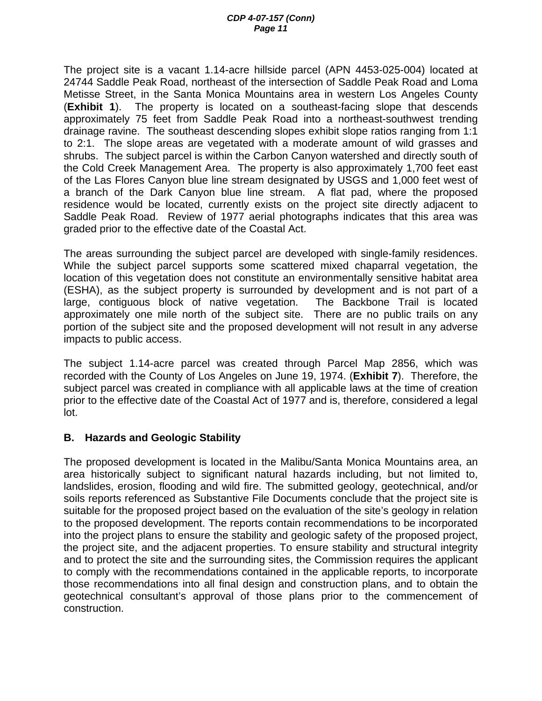The project site is a vacant 1.14-acre hillside parcel (APN 4453-025-004) located at 24744 Saddle Peak Road, northeast of the intersection of Saddle Peak Road and Loma Metisse Street, in the Santa Monica Mountains area in western Los Angeles County (**Exhibit 1**). The property is located on a southeast-facing slope that descends approximately 75 feet from Saddle Peak Road into a northeast-southwest trending drainage ravine. The southeast descending slopes exhibit slope ratios ranging from 1:1 to 2:1. The slope areas are vegetated with a moderate amount of wild grasses and shrubs. The subject parcel is within the Carbon Canyon watershed and directly south of the Cold Creek Management Area. The property is also approximately 1,700 feet east of the Las Flores Canyon blue line stream designated by USGS and 1,000 feet west of a branch of the Dark Canyon blue line stream. A flat pad, where the proposed residence would be located, currently exists on the project site directly adjacent to Saddle Peak Road. Review of 1977 aerial photographs indicates that this area was graded prior to the effective date of the Coastal Act.

The areas surrounding the subject parcel are developed with single-family residences. While the subject parcel supports some scattered mixed chaparral vegetation, the location of this vegetation does not constitute an environmentally sensitive habitat area (ESHA), as the subject property is surrounded by development and is not part of a large, contiguous block of native vegetation. The Backbone Trail is located approximately one mile north of the subject site. There are no public trails on any portion of the subject site and the proposed development will not result in any adverse impacts to public access.

The subject 1.14-acre parcel was created through Parcel Map 2856, which was recorded with the County of Los Angeles on June 19, 1974. (**Exhibit 7**). Therefore, the subject parcel was created in compliance with all applicable laws at the time of creation prior to the effective date of the Coastal Act of 1977 and is, therefore, considered a legal lot.

#### **B. Hazards and Geologic Stability**

The proposed development is located in the Malibu/Santa Monica Mountains area, an area historically subject to significant natural hazards including, but not limited to, landslides, erosion, flooding and wild fire. The submitted geology, geotechnical, and/or soils reports referenced as Substantive File Documents conclude that the project site is suitable for the proposed project based on the evaluation of the site's geology in relation to the proposed development. The reports contain recommendations to be incorporated into the project plans to ensure the stability and geologic safety of the proposed project, the project site, and the adjacent properties. To ensure stability and structural integrity and to protect the site and the surrounding sites, the Commission requires the applicant to comply with the recommendations contained in the applicable reports, to incorporate those recommendations into all final design and construction plans, and to obtain the geotechnical consultant's approval of those plans prior to the commencement of construction.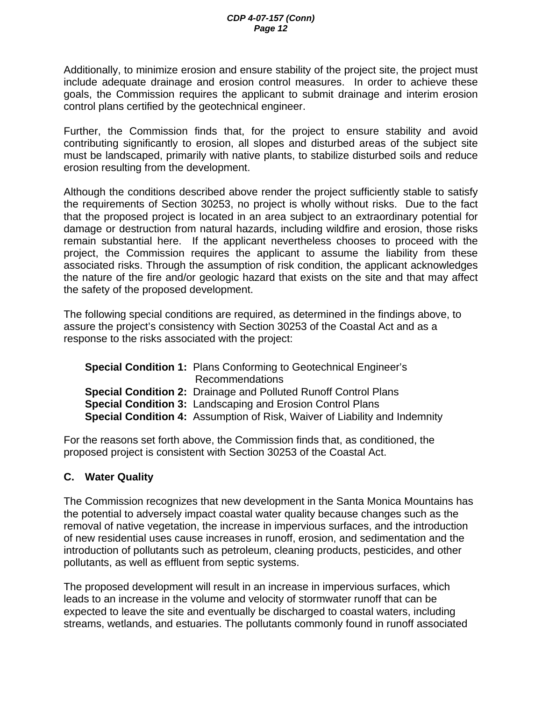Additionally, to minimize erosion and ensure stability of the project site, the project must include adequate drainage and erosion control measures. In order to achieve these goals, the Commission requires the applicant to submit drainage and interim erosion control plans certified by the geotechnical engineer.

Further, the Commission finds that, for the project to ensure stability and avoid contributing significantly to erosion, all slopes and disturbed areas of the subject site must be landscaped, primarily with native plants, to stabilize disturbed soils and reduce erosion resulting from the development.

Although the conditions described above render the project sufficiently stable to satisfy the requirements of Section 30253, no project is wholly without risks. Due to the fact that the proposed project is located in an area subject to an extraordinary potential for damage or destruction from natural hazards, including wildfire and erosion, those risks remain substantial here. If the applicant nevertheless chooses to proceed with the project, the Commission requires the applicant to assume the liability from these associated risks. Through the assumption of risk condition, the applicant acknowledges the nature of the fire and/or geologic hazard that exists on the site and that may affect the safety of the proposed development.

The following special conditions are required, as determined in the findings above, to assure the project's consistency with Section 30253 of the Coastal Act and as a response to the risks associated with the project:

| <b>Special Condition 1: Plans Conforming to Geotechnical Engineer's</b>           |
|-----------------------------------------------------------------------------------|
| Recommendations                                                                   |
| <b>Special Condition 2: Drainage and Polluted Runoff Control Plans</b>            |
| <b>Special Condition 3: Landscaping and Erosion Control Plans</b>                 |
| <b>Special Condition 4:</b> Assumption of Risk, Waiver of Liability and Indemnity |

For the reasons set forth above, the Commission finds that, as conditioned, the proposed project is consistent with Section 30253 of the Coastal Act.

### **C. Water Quality**

The Commission recognizes that new development in the Santa Monica Mountains has the potential to adversely impact coastal water quality because changes such as the removal of native vegetation, the increase in impervious surfaces, and the introduction of new residential uses cause increases in runoff, erosion, and sedimentation and the introduction of pollutants such as petroleum, cleaning products, pesticides, and other pollutants, as well as effluent from septic systems.

The proposed development will result in an increase in impervious surfaces, which leads to an increase in the volume and velocity of stormwater runoff that can be expected to leave the site and eventually be discharged to coastal waters, including streams, wetlands, and estuaries. The pollutants commonly found in runoff associated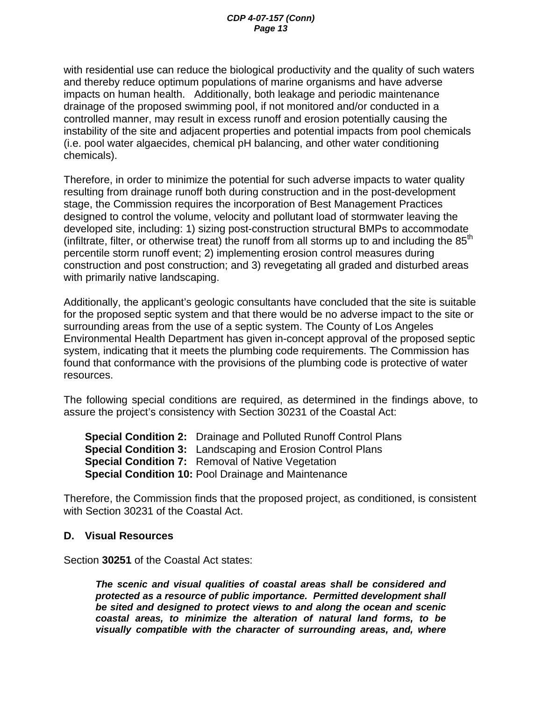with residential use can reduce the biological productivity and the quality of such waters and thereby reduce optimum populations of marine organisms and have adverse impacts on human health. Additionally, both leakage and periodic maintenance drainage of the proposed swimming pool, if not monitored and/or conducted in a controlled manner, may result in excess runoff and erosion potentially causing the instability of the site and adjacent properties and potential impacts from pool chemicals (i.e. pool water algaecides, chemical pH balancing, and other water conditioning chemicals).

Therefore, in order to minimize the potential for such adverse impacts to water quality resulting from drainage runoff both during construction and in the post-development stage, the Commission requires the incorporation of Best Management Practices designed to control the volume, velocity and pollutant load of stormwater leaving the developed site, including: 1) sizing post-construction structural BMPs to accommodate (infiltrate, filter, or otherwise treat) the runoff from all storms up to and including the  $85<sup>th</sup>$ percentile storm runoff event; 2) implementing erosion control measures during construction and post construction; and 3) revegetating all graded and disturbed areas with primarily native landscaping.

Additionally, the applicant's geologic consultants have concluded that the site is suitable for the proposed septic system and that there would be no adverse impact to the site or surrounding areas from the use of a septic system. The County of Los Angeles Environmental Health Department has given in-concept approval of the proposed septic system, indicating that it meets the plumbing code requirements. The Commission has found that conformance with the provisions of the plumbing code is protective of water resources.

The following special conditions are required, as determined in the findings above, to assure the project's consistency with Section 30231 of the Coastal Act:

**Special Condition 2:** Drainage and Polluted Runoff Control Plans **Special Condition 3:** Landscaping and Erosion Control Plans **Special Condition 7:** Removal of Native Vegetation **Special Condition 10:** Pool Drainage and Maintenance

Therefore, the Commission finds that the proposed project, as conditioned, is consistent with Section 30231 of the Coastal Act.

#### **D. Visual Resources**

Section **30251** of the Coastal Act states:

*The scenic and visual qualities of coastal areas shall be considered and protected as a resource of public importance. Permitted development shall be sited and designed to protect views to and along the ocean and scenic coastal areas, to minimize the alteration of natural land forms, to be visually compatible with the character of surrounding areas, and, where*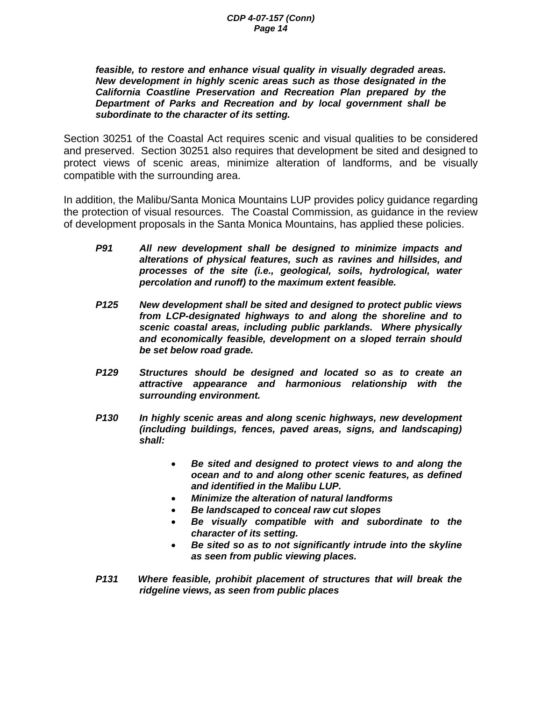*feasible, to restore and enhance visual quality in visually degraded areas. New development in highly scenic areas such as those designated in the California Coastline Preservation and Recreation Plan prepared by the Department of Parks and Recreation and by local government shall be subordinate to the character of its setting.* 

Section 30251 of the Coastal Act requires scenic and visual qualities to be considered and preserved. Section 30251 also requires that development be sited and designed to protect views of scenic areas, minimize alteration of landforms, and be visually compatible with the surrounding area.

In addition, the Malibu/Santa Monica Mountains LUP provides policy guidance regarding the protection of visual resources. The Coastal Commission, as guidance in the review of development proposals in the Santa Monica Mountains, has applied these policies.

- *P91 All new development shall be designed to minimize impacts and alterations of physical features, such as ravines and hillsides, and processes of the site (i.e., geological, soils, hydrological, water percolation and runoff) to the maximum extent feasible.*
- *P125 New development shall be sited and designed to protect public views from LCP-designated highways to and along the shoreline and to scenic coastal areas, including public parklands. Where physically and economically feasible, development on a sloped terrain should be set below road grade.*
- *P129 Structures should be designed and located so as to create an attractive appearance and harmonious relationship with the surrounding environment.*
- *P130 In highly scenic areas and along scenic highways, new development (including buildings, fences, paved areas, signs, and landscaping) shall:* 
	- *Be sited and designed to protect views to and along the ocean and to and along other scenic features, as defined and identified in the Malibu LUP.*
	- *Minimize the alteration of natural landforms*
	- *Be landscaped to conceal raw cut slopes*
	- *Be visually compatible with and subordinate to the character of its setting.*
	- *Be sited so as to not significantly intrude into the skyline as seen from public viewing places.*
- *P131 Where feasible, prohibit placement of structures that will break the ridgeline views, as seen from public places*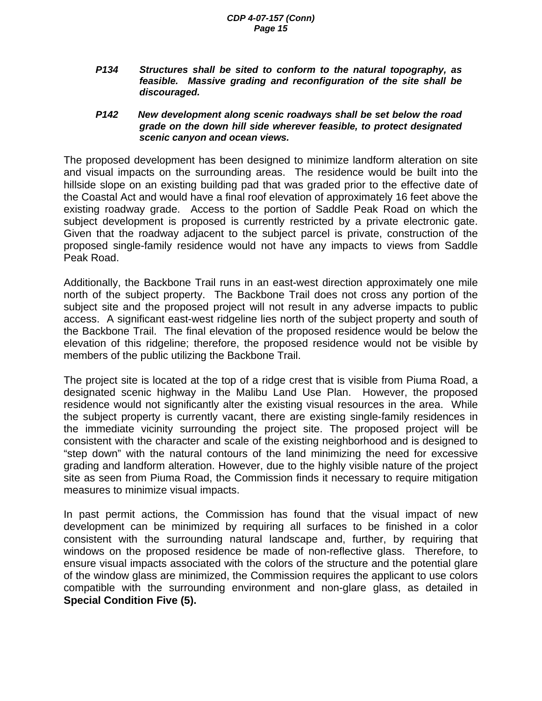*P134 Structures shall be sited to conform to the natural topography, as feasible. Massive grading and reconfiguration of the site shall be discouraged.* 

#### *P142 New development along scenic roadways shall be set below the road grade on the down hill side wherever feasible, to protect designated scenic canyon and ocean views.*

The proposed development has been designed to minimize landform alteration on site and visual impacts on the surrounding areas. The residence would be built into the hillside slope on an existing building pad that was graded prior to the effective date of the Coastal Act and would have a final roof elevation of approximately 16 feet above the existing roadway grade. Access to the portion of Saddle Peak Road on which the subject development is proposed is currently restricted by a private electronic gate. Given that the roadway adjacent to the subject parcel is private, construction of the proposed single-family residence would not have any impacts to views from Saddle Peak Road.

Additionally, the Backbone Trail runs in an east-west direction approximately one mile north of the subject property. The Backbone Trail does not cross any portion of the subject site and the proposed project will not result in any adverse impacts to public access. A significant east-west ridgeline lies north of the subject property and south of the Backbone Trail. The final elevation of the proposed residence would be below the elevation of this ridgeline; therefore, the proposed residence would not be visible by members of the public utilizing the Backbone Trail.

The project site is located at the top of a ridge crest that is visible from Piuma Road, a designated scenic highway in the Malibu Land Use Plan. However, the proposed residence would not significantly alter the existing visual resources in the area. While the subject property is currently vacant, there are existing single-family residences in the immediate vicinity surrounding the project site. The proposed project will be consistent with the character and scale of the existing neighborhood and is designed to "step down" with the natural contours of the land minimizing the need for excessive grading and landform alteration. However, due to the highly visible nature of the project site as seen from Piuma Road, the Commission finds it necessary to require mitigation measures to minimize visual impacts.

In past permit actions, the Commission has found that the visual impact of new development can be minimized by requiring all surfaces to be finished in a color consistent with the surrounding natural landscape and, further, by requiring that windows on the proposed residence be made of non-reflective glass. Therefore, to ensure visual impacts associated with the colors of the structure and the potential glare of the window glass are minimized, the Commission requires the applicant to use colors compatible with the surrounding environment and non-glare glass, as detailed in **Special Condition Five (5).**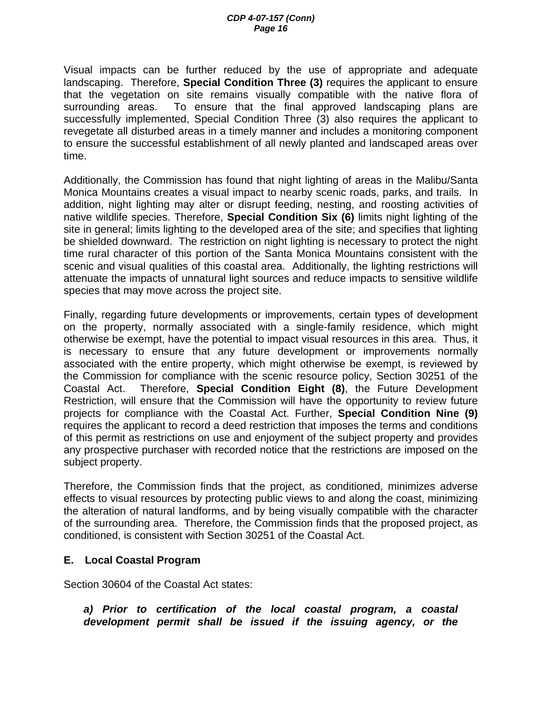Visual impacts can be further reduced by the use of appropriate and adequate landscaping. Therefore, **Special Condition Three (3)** requires the applicant to ensure that the vegetation on site remains visually compatible with the native flora of surrounding areas. To ensure that the final approved landscaping plans are successfully implemented, Special Condition Three (3) also requires the applicant to revegetate all disturbed areas in a timely manner and includes a monitoring component to ensure the successful establishment of all newly planted and landscaped areas over time.

Additionally, the Commission has found that night lighting of areas in the Malibu/Santa Monica Mountains creates a visual impact to nearby scenic roads, parks, and trails. In addition, night lighting may alter or disrupt feeding, nesting, and roosting activities of native wildlife species. Therefore, **Special Condition Six (6)** limits night lighting of the site in general; limits lighting to the developed area of the site; and specifies that lighting be shielded downward. The restriction on night lighting is necessary to protect the night time rural character of this portion of the Santa Monica Mountains consistent with the scenic and visual qualities of this coastal area. Additionally, the lighting restrictions will attenuate the impacts of unnatural light sources and reduce impacts to sensitive wildlife species that may move across the project site.

Finally, regarding future developments or improvements, certain types of development on the property, normally associated with a single-family residence, which might otherwise be exempt, have the potential to impact visual resources in this area. Thus, it is necessary to ensure that any future development or improvements normally associated with the entire property, which might otherwise be exempt, is reviewed by the Commission for compliance with the scenic resource policy, Section 30251 of the Coastal Act. Therefore, **Special Condition Eight (8)**, the Future Development Restriction, will ensure that the Commission will have the opportunity to review future projects for compliance with the Coastal Act. Further, **Special Condition Nine (9)** requires the applicant to record a deed restriction that imposes the terms and conditions of this permit as restrictions on use and enjoyment of the subject property and provides any prospective purchaser with recorded notice that the restrictions are imposed on the subject property.

Therefore, the Commission finds that the project, as conditioned, minimizes adverse effects to visual resources by protecting public views to and along the coast, minimizing the alteration of natural landforms, and by being visually compatible with the character of the surrounding area. Therefore, the Commission finds that the proposed project, as conditioned, is consistent with Section 30251 of the Coastal Act.

#### **E. Local Coastal Program**

Section 30604 of the Coastal Act states:

*a) Prior to certification of the local coastal program, a coastal development permit shall be issued if the issuing agency, or the*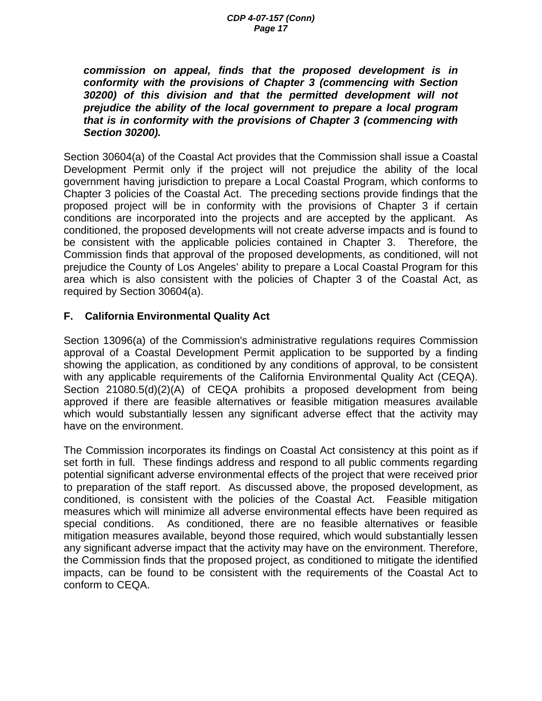*commission on appeal, finds that the proposed development is in conformity with the provisions of Chapter 3 (commencing with Section 30200) of this division and that the permitted development will not prejudice the ability of the local government to prepare a local program that is in conformity with the provisions of Chapter 3 (commencing with Section 30200).* 

Section 30604(a) of the Coastal Act provides that the Commission shall issue a Coastal Development Permit only if the project will not prejudice the ability of the local government having jurisdiction to prepare a Local Coastal Program, which conforms to Chapter 3 policies of the Coastal Act. The preceding sections provide findings that the proposed project will be in conformity with the provisions of Chapter 3 if certain conditions are incorporated into the projects and are accepted by the applicant. As conditioned, the proposed developments will not create adverse impacts and is found to be consistent with the applicable policies contained in Chapter 3. Therefore, the Commission finds that approval of the proposed developments, as conditioned, will not prejudice the County of Los Angeles' ability to prepare a Local Coastal Program for this area which is also consistent with the policies of Chapter 3 of the Coastal Act, as required by Section 30604(a).

### **F. California Environmental Quality Act**

Section 13096(a) of the Commission's administrative regulations requires Commission approval of a Coastal Development Permit application to be supported by a finding showing the application, as conditioned by any conditions of approval, to be consistent with any applicable requirements of the California Environmental Quality Act (CEQA). Section 21080.5(d)(2)(A) of CEQA prohibits a proposed development from being approved if there are feasible alternatives or feasible mitigation measures available which would substantially lessen any significant adverse effect that the activity may have on the environment.

The Commission incorporates its findings on Coastal Act consistency at this point as if set forth in full. These findings address and respond to all public comments regarding potential significant adverse environmental effects of the project that were received prior to preparation of the staff report. As discussed above, the proposed development, as conditioned, is consistent with the policies of the Coastal Act. Feasible mitigation measures which will minimize all adverse environmental effects have been required as special conditions. As conditioned, there are no feasible alternatives or feasible mitigation measures available, beyond those required, which would substantially lessen any significant adverse impact that the activity may have on the environment. Therefore, the Commission finds that the proposed project, as conditioned to mitigate the identified impacts, can be found to be consistent with the requirements of the Coastal Act to conform to CEQA.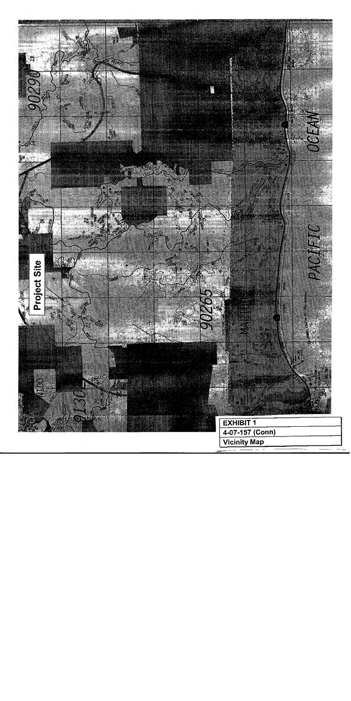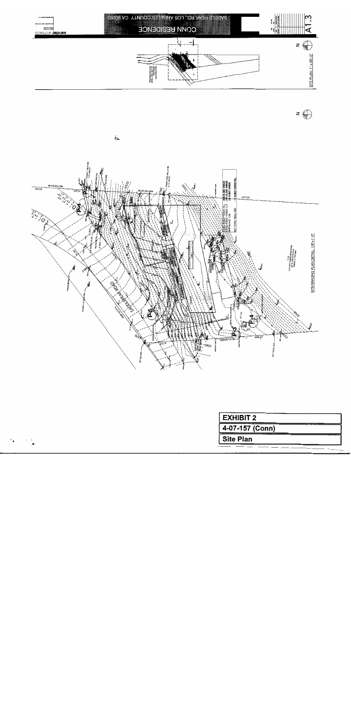

 $z$   $\bigoplus$ 



۰,

| <b>EXHIBIT 2</b> |  |
|------------------|--|
| 4-07-157 (Conn)  |  |
| <b>Site Plan</b> |  |
|                  |  |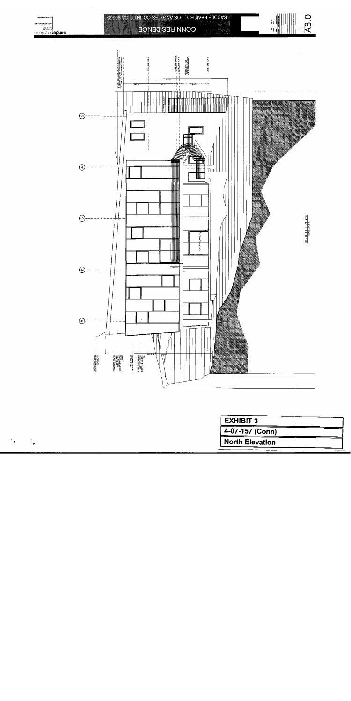

 $\gamma_{\rm A}$ 

| <b>EXHIBIT 3</b>       |  |
|------------------------|--|
| 4-07-157 (Conn)        |  |
| <b>North Elevation</b> |  |
|                        |  |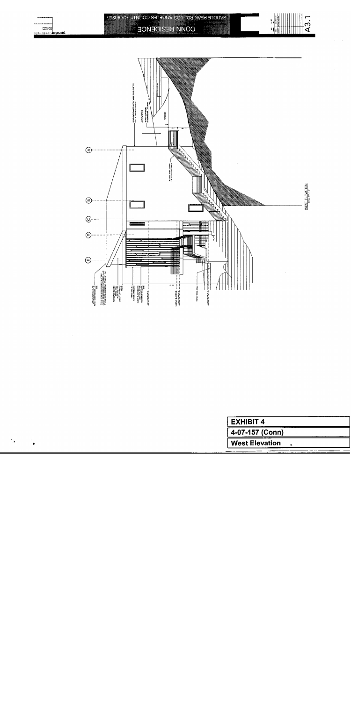

 $^{\dagger}$  A

| <b>EXHIBIT 4</b>      |  |
|-----------------------|--|
| 4-07-157 (Conn)       |  |
| <b>West Elevation</b> |  |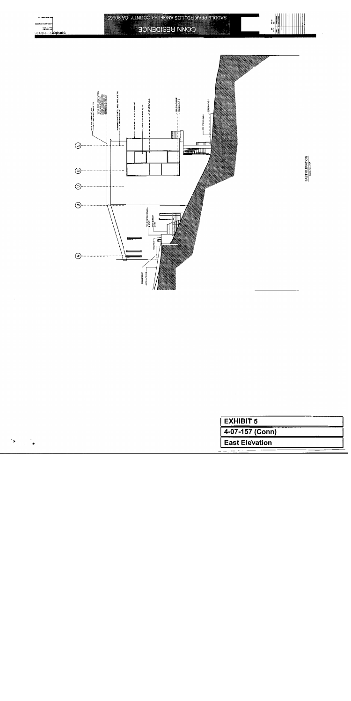

| 4-07-157 (Conn) | EXHIBIT 5             |  |
|-----------------|-----------------------|--|
|                 |                       |  |
|                 | <b>East Elevation</b> |  |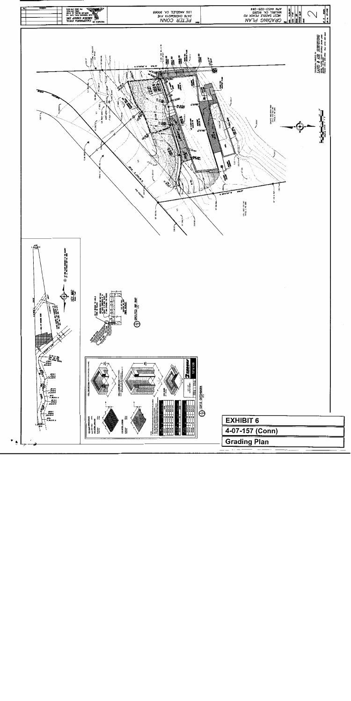

 $\blacktriangleright$